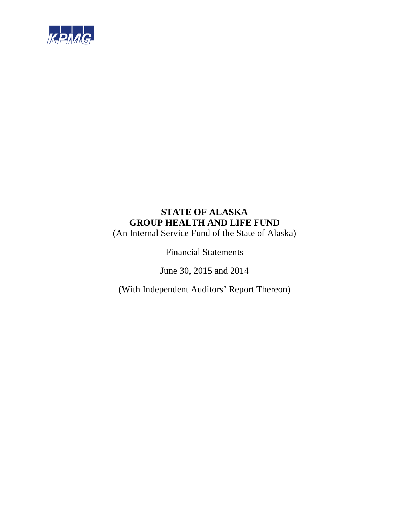

(An Internal Service Fund of the State of Alaska)

Financial Statements

June 30, 2015 and 2014

(With Independent Auditors' Report Thereon)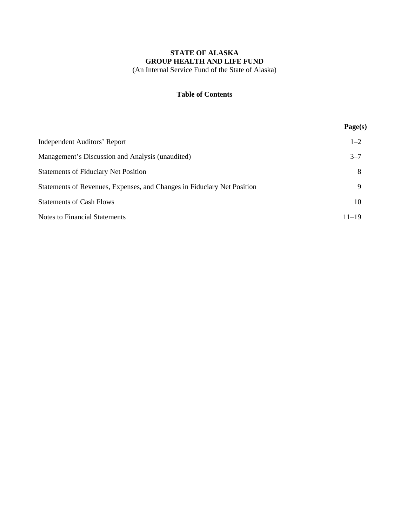#### **Table of Contents**

|                                                                         | Page(s)   |
|-------------------------------------------------------------------------|-----------|
| <b>Independent Auditors' Report</b>                                     | $1 - 2$   |
| Management's Discussion and Analysis (unaudited)                        | $3 - 7$   |
| <b>Statements of Fiduciary Net Position</b>                             | 8         |
| Statements of Revenues, Expenses, and Changes in Fiduciary Net Position | 9         |
| <b>Statements of Cash Flows</b>                                         | 10        |
| <b>Notes to Financial Statements</b>                                    | $11 - 19$ |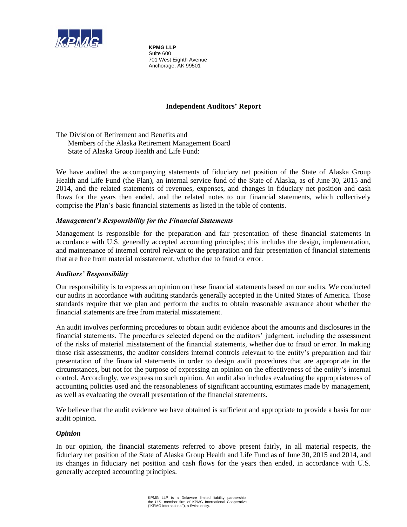

**KPMG LLP**  Suite 600 701 West Eighth Avenue Anchorage, AK 99501

### **Independent Auditors' Report**

The Division of Retirement and Benefits and Members of the Alaska Retirement Management Board State of Alaska Group Health and Life Fund:

We have audited the accompanying statements of fiduciary net position of the State of Alaska Group Health and Life Fund (the Plan), an internal service fund of the State of Alaska, as of June 30, 2015 and 2014, and the related statements of revenues, expenses, and changes in fiduciary net position and cash flows for the years then ended, and the related notes to our financial statements, which collectively comprise the Plan's basic financial statements as listed in the table of contents.

#### *Management's Responsibility for the Financial Statements*

Management is responsible for the preparation and fair presentation of these financial statements in accordance with U.S. generally accepted accounting principles; this includes the design, implementation, and maintenance of internal control relevant to the preparation and fair presentation of financial statements that are free from material misstatement, whether due to fraud or error.

#### *Auditors' Responsibility*

Our responsibility is to express an opinion on these financial statements based on our audits. We conducted our audits in accordance with auditing standards generally accepted in the United States of America. Those standards require that we plan and perform the audits to obtain reasonable assurance about whether the financial statements are free from material misstatement.

An audit involves performing procedures to obtain audit evidence about the amounts and disclosures in the financial statements. The procedures selected depend on the auditors' judgment, including the assessment of the risks of material misstatement of the financial statements, whether due to fraud or error. In making those risk assessments, the auditor considers internal controls relevant to the entity's preparation and fair presentation of the financial statements in order to design audit procedures that are appropriate in the circumstances, but not for the purpose of expressing an opinion on the effectiveness of the entity's internal control. Accordingly, we express no such opinion. An audit also includes evaluating the appropriateness of accounting policies used and the reasonableness of significant accounting estimates made by management, as well as evaluating the overall presentation of the financial statements.

We believe that the audit evidence we have obtained is sufficient and appropriate to provide a basis for our audit opinion.

#### *Opinion*

In our opinion, the financial statements referred to above present fairly, in all material respects, the fiduciary net position of the State of Alaska Group Health and Life Fund as of June 30, 2015 and 2014, and its changes in fiduciary net position and cash flows for the years then ended, in accordance with U.S. generally accepted accounting principles.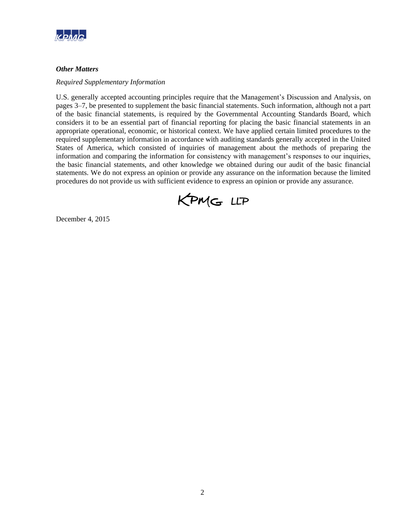

#### *Other Matters*

#### *Required Supplementary Information*

U.S. generally accepted accounting principles require that the Management's Discussion and Analysis, on pages 3–7, be presented to supplement the basic financial statements. Such information, although not a part of the basic financial statements, is required by the Governmental Accounting Standards Board, which considers it to be an essential part of financial reporting for placing the basic financial statements in an appropriate operational, economic, or historical context. We have applied certain limited procedures to the required supplementary information in accordance with auditing standards generally accepted in the United States of America, which consisted of inquiries of management about the methods of preparing the information and comparing the information for consistency with management's responses to our inquiries, the basic financial statements, and other knowledge we obtained during our audit of the basic financial statements. We do not express an opinion or provide any assurance on the information because the limited procedures do not provide us with sufficient evidence to express an opinion or provide any assurance.



December 4, 2015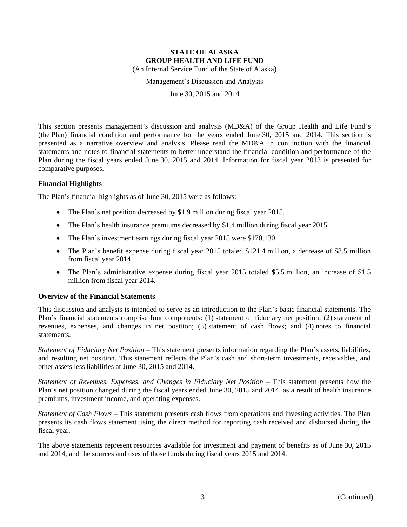Management's Discussion and Analysis

June 30, 2015 and 2014

This section presents management's discussion and analysis (MD&A) of the Group Health and Life Fund's (the Plan) financial condition and performance for the years ended June 30, 2015 and 2014. This section is presented as a narrative overview and analysis. Please read the MD&A in conjunction with the financial statements and notes to financial statements to better understand the financial condition and performance of the Plan during the fiscal years ended June 30, 2015 and 2014. Information for fiscal year 2013 is presented for comparative purposes.

#### **Financial Highlights**

The Plan's financial highlights as of June 30, 2015 were as follows:

- The Plan's net position decreased by \$1.9 million during fiscal year 2015.
- The Plan's health insurance premiums decreased by \$1.4 million during fiscal year 2015.
- The Plan's investment earnings during fiscal year 2015 were \$170,130.
- The Plan's benefit expense during fiscal year 2015 totaled \$121.4 million, a decrease of \$8.5 million from fiscal year 2014.
- The Plan's administrative expense during fiscal year 2015 totaled \$5.5 million, an increase of \$1.5 million from fiscal year 2014.

#### **Overview of the Financial Statements**

This discussion and analysis is intended to serve as an introduction to the Plan's basic financial statements. The Plan's financial statements comprise four components: (1) statement of fiduciary net position; (2) statement of revenues, expenses, and changes in net position; (3) statement of cash flows; and (4) notes to financial statements.

*Statement of Fiduciary Net Position* – This statement presents information regarding the Plan's assets, liabilities, and resulting net position. This statement reflects the Plan's cash and short-term investments, receivables, and other assets less liabilities at June 30, 2015 and 2014.

*Statement of Revenues, Expenses, and Changes in Fiduciary Net Position* – This statement presents how the Plan's net position changed during the fiscal years ended June 30, 2015 and 2014, as a result of health insurance premiums, investment income, and operating expenses.

*Statement of Cash Flows* – This statement presents cash flows from operations and investing activities. The Plan presents its cash flows statement using the direct method for reporting cash received and disbursed during the fiscal year.

The above statements represent resources available for investment and payment of benefits as of June 30, 2015 and 2014, and the sources and uses of those funds during fiscal years 2015 and 2014.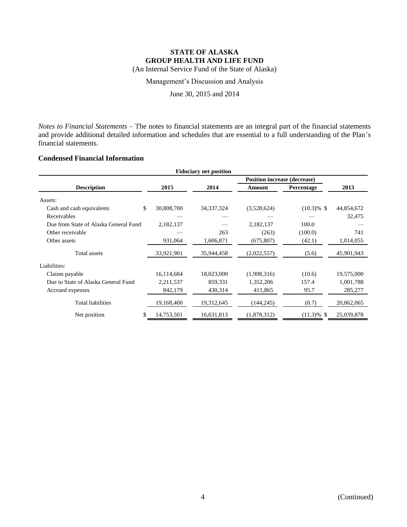(An Internal Service Fund of the State of Alaska)

Management's Discussion and Analysis

June 30, 2015 and 2014

*Notes to Financial Statements* – The notes to financial statements are an integral part of the financial statements and provide additional detailed information and schedules that are essential to a full understanding of the Plan's financial statements.

### **Condensed Financial Information**

| <b>Fiduciary net position</b>         |            |              |                                     |               |            |  |  |
|---------------------------------------|------------|--------------|-------------------------------------|---------------|------------|--|--|
|                                       |            |              | <b>Position increase (decrease)</b> |               |            |  |  |
| <b>Description</b>                    | 2015       | 2014         | Amount                              | Percentage    | 2013       |  |  |
| Assets:                               |            |              |                                     |               |            |  |  |
| \$<br>Cash and cash equivalents       | 30,808,700 | 34, 337, 324 | (3,528,624)                         | $(10.3)\%$ \$ | 44,854,672 |  |  |
| Receivables                           |            |              |                                     |               | 32,475     |  |  |
| Due from State of Alaska General Fund | 2,182,137  |              | 2,182,137                           | 100.0         |            |  |  |
| Other receivable                      |            | 263          | (263)                               | (100.0)       | 741        |  |  |
| Other assets                          | 931,064    | 1,606,871    | (675, 807)                          | (42.1)        | 1,014,055  |  |  |
| Total assets                          | 33,921,901 | 35,944,458   | (2,022,557)                         | (5.6)         | 45,901,943 |  |  |
| Liabilities:                          |            |              |                                     |               |            |  |  |
| Claims payable                        | 16,114,684 | 18,023,000   | (1,908,316)                         | (10.6)        | 19,575,000 |  |  |
| Due to State of Alaska General Fund   | 2,211,537  | 859,331      | 1,352,206                           | 157.4         | 1,001,788  |  |  |
| Accrued expenses                      | 842,179    | 430,314      | 411,865                             | 95.7          | 285,277    |  |  |
| <b>Total liabilities</b>              | 19,168,400 | 19,312,645   | (144, 245)                          | (0.7)         | 20,862,065 |  |  |
| \$.<br>Net position                   | 14,753,501 | 16,631,813   | (1,878,312)                         | $(11.3)\%$ \$ | 25,039,878 |  |  |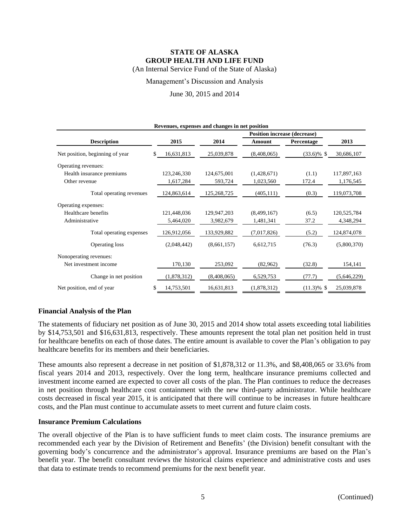Management's Discussion and Analysis

June 30, 2015 and 2014

| Revenues, expenses and changes in net position |                   |             |                                     |               |             |  |  |
|------------------------------------------------|-------------------|-------------|-------------------------------------|---------------|-------------|--|--|
|                                                |                   |             | <b>Position increase (decrease)</b> |               |             |  |  |
| <b>Description</b>                             | 2015              | 2014        | Amount                              | Percentage    | 2013        |  |  |
| Net position, beginning of year                | 16,631,813<br>\$. | 25,039,878  | (8,408,065)                         | $(33.6)\%$ \$ | 30,686,107  |  |  |
| Operating revenues:                            |                   |             |                                     |               |             |  |  |
| Health insurance premiums                      | 123,246,330       | 124,675,001 | (1,428,671)                         | (1.1)         | 117,897,163 |  |  |
| Other revenue                                  | 1,617,284         | 593,724     | 1,023,560                           | 172.4         | 1,176,545   |  |  |
| Total operating revenues                       | 124,863,614       | 125,268,725 | (405, 111)                          | (0.3)         | 119,073,708 |  |  |
| Operating expenses:                            |                   |             |                                     |               |             |  |  |
| Healthcare benefits                            | 121,448,036       | 129,947,203 | (8,499,167)                         | (6.5)         | 120,525,784 |  |  |
| Administrative                                 | 5,464,020         | 3,982,679   | 1,481,341                           | 37.2          | 4,348,294   |  |  |
| Total operating expenses                       | 126,912,056       | 133,929,882 | (7,017,826)                         | (5.2)         | 124,874,078 |  |  |
| Operating loss                                 | (2,048,442)       | (8,661,157) | 6,612,715                           | (76.3)        | (5,800,370) |  |  |
| Nonoperating revenues:                         |                   |             |                                     |               |             |  |  |
| Net investment income                          | 170,130           | 253,092     | (82,962)                            | (32.8)        | 154,141     |  |  |
| Change in net position                         | (1,878,312)       | (8,408,065) | 6,529,753                           | (77.7)        | (5,646,229) |  |  |
| Net position, end of year                      | 14,753,501<br>S   | 16,631,813  | (1,878,312)                         | $(11.3)\%$ \$ | 25,039,878  |  |  |

#### **Financial Analysis of the Plan**

The statements of fiduciary net position as of June 30, 2015 and 2014 show total assets exceeding total liabilities by \$14,753,501 and \$16,631,813, respectively. These amounts represent the total plan net position held in trust for healthcare benefits on each of those dates. The entire amount is available to cover the Plan's obligation to pay healthcare benefits for its members and their beneficiaries.

These amounts also represent a decrease in net position of \$1,878,312 or 11.3%, and \$8,408,065 or 33.6% from fiscal years 2014 and 2013, respectively. Over the long term, healthcare insurance premiums collected and investment income earned are expected to cover all costs of the plan. The Plan continues to reduce the decreases in net position through healthcare cost containment with the new third-party administrator. While healthcare costs decreased in fiscal year 2015, it is anticipated that there will continue to be increases in future healthcare costs, and the Plan must continue to accumulate assets to meet current and future claim costs.

#### **Insurance Premium Calculations**

The overall objective of the Plan is to have sufficient funds to meet claim costs. The insurance premiums are recommended each year by the Division of Retirement and Benefits' (the Division) benefit consultant with the governing body's concurrence and the administrator's approval. Insurance premiums are based on the Plan's benefit year. The benefit consultant reviews the historical claims experience and administrative costs and uses that data to estimate trends to recommend premiums for the next benefit year.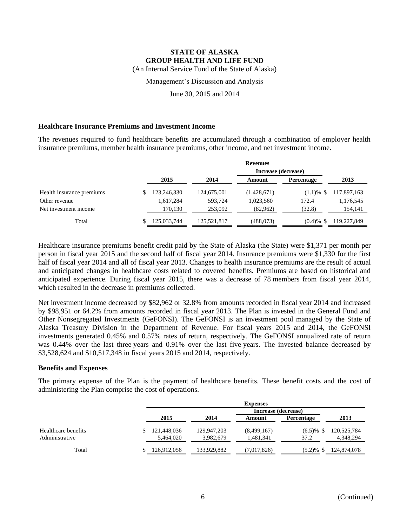Management's Discussion and Analysis

June 30, 2015 and 2014

#### **Healthcare Insurance Premiums and Investment Income**

The revenues required to fund healthcare benefits are accumulated through a combination of employer health insurance premiums, member health insurance premiums, other income, and net investment income.

|                           | <b>Revenues</b> |             |             |                     |                   |             |  |
|---------------------------|-----------------|-------------|-------------|---------------------|-------------------|-------------|--|
|                           |                 |             |             | Increase (decrease) |                   |             |  |
|                           |                 | 2015        | 2014        | Amount              | <b>Percentage</b> | 2013        |  |
| Health insurance premiums |                 | 123,246,330 | 124,675,001 | (1,428,671)         | $(1.1) \%$ \$     | 117,897,163 |  |
| Other revenue             |                 | 1,617,284   | 593,724     | 1,023,560           | 172.4             | 1,176,545   |  |
| Net investment income     |                 | 170.130     | 253,092     | (82,962)            | (32.8)            | 154,141     |  |
| Total                     |                 | 125,033,744 | 125,521,817 | (488,073)           | $(0.4) \%$ \$     | 119,227,849 |  |

Healthcare insurance premiums benefit credit paid by the State of Alaska (the State) were \$1,371 per month per person in fiscal year 2015 and the second half of fiscal year 2014. Insurance premiums were \$1,330 for the first half of fiscal year 2014 and all of fiscal year 2013. Changes to health insurance premiums are the result of actual and anticipated changes in healthcare costs related to covered benefits. Premiums are based on historical and anticipated experience. During fiscal year 2015, there was a decrease of 78 members from fiscal year 2014, which resulted in the decrease in premiums collected.

Net investment income decreased by \$82,962 or 32.8% from amounts recorded in fiscal year 2014 and increased by \$98,951 or 64.2% from amounts recorded in fiscal year 2013. The Plan is invested in the General Fund and Other Nonsegregated Investments (GeFONSI). The GeFONSI is an investment pool managed by the State of Alaska Treasury Division in the Department of Revenue. For fiscal years 2015 and 2014, the GeFONSI investments generated 0.45% and 0.57% rates of return, respectively. The GeFONSI annualized rate of return was 0.44% over the last three years and 0.91% over the last five years. The invested balance decreased by \$3,528,624 and \$10,517,348 in fiscal years 2015 and 2014, respectively.

#### **Benefits and Expenses**

The primary expense of the Plan is the payment of healthcare benefits. These benefit costs and the cost of administering the Plan comprise the cost of operations.

|                                       | <b>Expenses</b>          |                          |                          |                      |                          |  |  |
|---------------------------------------|--------------------------|--------------------------|--------------------------|----------------------|--------------------------|--|--|
|                                       |                          |                          | Increase (decrease)      |                      |                          |  |  |
|                                       | 2015                     | 2014                     | Amount                   | <b>Percentage</b>    | 2013                     |  |  |
| Healthcare benefits<br>Administrative | 121,448,036<br>5,464,020 | 129,947,203<br>3,982,679 | (8,499,167)<br>1,481,341 | $(6.5)\%$ \$<br>37.2 | 120,525,784<br>4,348,294 |  |  |
| Total                                 | 126,912,056              | 133,929,882              | (7,017,826)              | $(5.2) \%$ \$        | 124,874,078              |  |  |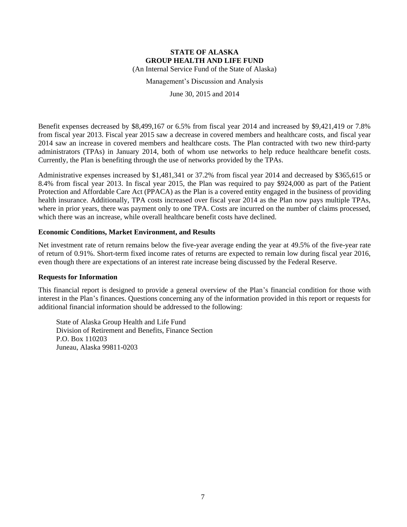Management's Discussion and Analysis

June 30, 2015 and 2014

Benefit expenses decreased by \$8,499,167 or 6.5% from fiscal year 2014 and increased by \$9,421,419 or 7.8% from fiscal year 2013. Fiscal year 2015 saw a decrease in covered members and healthcare costs, and fiscal year 2014 saw an increase in covered members and healthcare costs. The Plan contracted with two new third-party administrators (TPAs) in January 2014, both of whom use networks to help reduce healthcare benefit costs. Currently, the Plan is benefiting through the use of networks provided by the TPAs.

Administrative expenses increased by \$1,481,341 or 37.2% from fiscal year 2014 and decreased by \$365,615 or 8.4% from fiscal year 2013. In fiscal year 2015, the Plan was required to pay \$924,000 as part of the Patient Protection and Affordable Care Act (PPACA) as the Plan is a covered entity engaged in the business of providing health insurance. Additionally, TPA costs increased over fiscal year 2014 as the Plan now pays multiple TPAs, where in prior years, there was payment only to one TPA. Costs are incurred on the number of claims processed, which there was an increase, while overall healthcare benefit costs have declined.

#### **Economic Conditions, Market Environment, and Results**

Net investment rate of return remains below the five-year average ending the year at 49.5% of the five-year rate of return of 0.91%. Short-term fixed income rates of returns are expected to remain low during fiscal year 2016, even though there are expectations of an interest rate increase being discussed by the Federal Reserve.

#### **Requests for Information**

This financial report is designed to provide a general overview of the Plan's financial condition for those with interest in the Plan's finances. Questions concerning any of the information provided in this report or requests for additional financial information should be addressed to the following:

State of Alaska Group Health and Life Fund Division of Retirement and Benefits, Finance Section P.O. Box 110203 Juneau, Alaska 99811-0203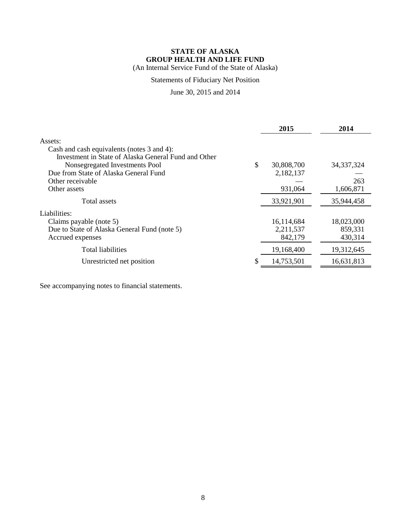(An Internal Service Fund of the State of Alaska)

## Statements of Fiduciary Net Position

June 30, 2015 and 2014

|                                                      | 2015             | 2014         |
|------------------------------------------------------|------------------|--------------|
| Assets:                                              |                  |              |
| Cash and cash equivalents (notes 3 and 4):           |                  |              |
| Investment in State of Alaska General Fund and Other |                  |              |
| Nonsegregated Investments Pool                       | \$<br>30,808,700 | 34, 337, 324 |
| Due from State of Alaska General Fund                | 2,182,137        |              |
| Other receivable                                     |                  | 263          |
| Other assets                                         | 931,064          | 1,606,871    |
| Total assets                                         | 33,921,901       | 35,944,458   |
| Liabilities:                                         |                  |              |
| Claims payable (note 5)                              | 16,114,684       | 18,023,000   |
| Due to State of Alaska General Fund (note 5)         | 2,211,537        | 859,331      |
| Accrued expenses                                     | 842,179          | 430,314      |
| Total liabilities                                    | 19,168,400       | 19,312,645   |
| Unrestricted net position                            | 14,753,501       | 16,631,813   |
|                                                      |                  |              |

See accompanying notes to financial statements.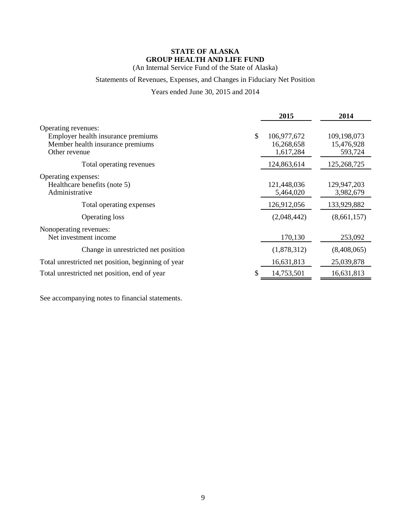(An Internal Service Fund of the State of Alaska)

## Statements of Revenues, Expenses, and Changes in Fiduciary Net Position

Years ended June 30, 2015 and 2014

|                                                                                                                | 2015                                         | 2014                                 |
|----------------------------------------------------------------------------------------------------------------|----------------------------------------------|--------------------------------------|
| Operating revenues:<br>Employer health insurance premiums<br>Member health insurance premiums<br>Other revenue | \$<br>106,977,672<br>16,268,658<br>1,617,284 | 109,198,073<br>15,476,928<br>593,724 |
| Total operating revenues                                                                                       | 124,863,614                                  | 125,268,725                          |
| Operating expenses:<br>Healthcare benefits (note 5)<br>Administrative                                          | 121,448,036<br>5,464,020                     | 129,947,203<br>3,982,679             |
| Total operating expenses                                                                                       | 126,912,056                                  | 133,929,882                          |
| <b>Operating loss</b>                                                                                          | (2,048,442)                                  | (8,661,157)                          |
| Nonoperating revenues:<br>Net investment income                                                                | 170,130                                      | 253,092                              |
| Change in unrestricted net position                                                                            | (1,878,312)                                  | (8,408,065)                          |
| Total unrestricted net position, beginning of year                                                             | 16,631,813                                   | 25,039,878                           |
| Total unrestricted net position, end of year                                                                   | 14,753,501                                   | 16,631,813                           |

See accompanying notes to financial statements.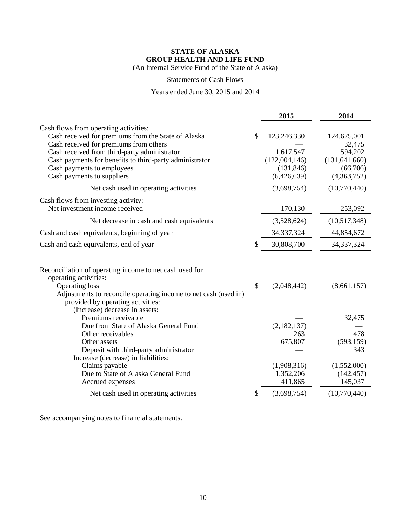(An Internal Service Fund of the State of Alaska)

### Statements of Cash Flows

### Years ended June 30, 2015 and 2014

| Cash flows from operating activities:<br>Cash received for premiums from the State of Alaska<br>\$<br>123,246,330<br>124,675,001<br>Cash received for premiums from others<br>32,475<br>Cash received from third-party administrator<br>594,202<br>1,617,547<br>(122,004,146)<br>Cash payments for benefits to third-party administrator<br>(131, 641, 660)<br>Cash payments to employees<br>(131, 846)<br>(66,706)<br>(4,363,752)<br>Cash payments to suppliers<br>(6,426,639)<br>(3,698,754)<br>(10,770,440)<br>Net cash used in operating activities<br>Cash flows from investing activity:<br>Net investment income received<br>170,130<br>253,092<br>(3,528,624)<br>(10,517,348)<br>Net decrease in cash and cash equivalents<br>Cash and cash equivalents, beginning of year<br>34, 37, 324<br>44,854,672<br>30,808,700<br>34, 337, 324<br>Cash and cash equivalents, end of year<br>S<br>Reconciliation of operating income to net cash used for<br>operating activities:<br>$\mathcal{S}$<br><b>Operating loss</b><br>(2,048,442)<br>(8,661,157)<br>Adjustments to reconcile operating income to net cash (used in)<br>provided by operating activities:<br>(Increase) decrease in assets:<br>Premiums receivable<br>32,475<br>Due from State of Alaska General Fund<br>(2,182,137)<br>478<br>Other receivables<br>263<br>675,807<br>(593, 159)<br>Other assets<br>Deposit with third-party administrator<br>343 |                                     | 2015 | 2014 |
|--------------------------------------------------------------------------------------------------------------------------------------------------------------------------------------------------------------------------------------------------------------------------------------------------------------------------------------------------------------------------------------------------------------------------------------------------------------------------------------------------------------------------------------------------------------------------------------------------------------------------------------------------------------------------------------------------------------------------------------------------------------------------------------------------------------------------------------------------------------------------------------------------------------------------------------------------------------------------------------------------------------------------------------------------------------------------------------------------------------------------------------------------------------------------------------------------------------------------------------------------------------------------------------------------------------------------------------------------------------------------------------------------------------------------|-------------------------------------|------|------|
|                                                                                                                                                                                                                                                                                                                                                                                                                                                                                                                                                                                                                                                                                                                                                                                                                                                                                                                                                                                                                                                                                                                                                                                                                                                                                                                                                                                                                          |                                     |      |      |
|                                                                                                                                                                                                                                                                                                                                                                                                                                                                                                                                                                                                                                                                                                                                                                                                                                                                                                                                                                                                                                                                                                                                                                                                                                                                                                                                                                                                                          |                                     |      |      |
|                                                                                                                                                                                                                                                                                                                                                                                                                                                                                                                                                                                                                                                                                                                                                                                                                                                                                                                                                                                                                                                                                                                                                                                                                                                                                                                                                                                                                          |                                     |      |      |
|                                                                                                                                                                                                                                                                                                                                                                                                                                                                                                                                                                                                                                                                                                                                                                                                                                                                                                                                                                                                                                                                                                                                                                                                                                                                                                                                                                                                                          |                                     |      |      |
|                                                                                                                                                                                                                                                                                                                                                                                                                                                                                                                                                                                                                                                                                                                                                                                                                                                                                                                                                                                                                                                                                                                                                                                                                                                                                                                                                                                                                          |                                     |      |      |
|                                                                                                                                                                                                                                                                                                                                                                                                                                                                                                                                                                                                                                                                                                                                                                                                                                                                                                                                                                                                                                                                                                                                                                                                                                                                                                                                                                                                                          |                                     |      |      |
|                                                                                                                                                                                                                                                                                                                                                                                                                                                                                                                                                                                                                                                                                                                                                                                                                                                                                                                                                                                                                                                                                                                                                                                                                                                                                                                                                                                                                          |                                     |      |      |
|                                                                                                                                                                                                                                                                                                                                                                                                                                                                                                                                                                                                                                                                                                                                                                                                                                                                                                                                                                                                                                                                                                                                                                                                                                                                                                                                                                                                                          |                                     |      |      |
|                                                                                                                                                                                                                                                                                                                                                                                                                                                                                                                                                                                                                                                                                                                                                                                                                                                                                                                                                                                                                                                                                                                                                                                                                                                                                                                                                                                                                          |                                     |      |      |
|                                                                                                                                                                                                                                                                                                                                                                                                                                                                                                                                                                                                                                                                                                                                                                                                                                                                                                                                                                                                                                                                                                                                                                                                                                                                                                                                                                                                                          |                                     |      |      |
|                                                                                                                                                                                                                                                                                                                                                                                                                                                                                                                                                                                                                                                                                                                                                                                                                                                                                                                                                                                                                                                                                                                                                                                                                                                                                                                                                                                                                          |                                     |      |      |
|                                                                                                                                                                                                                                                                                                                                                                                                                                                                                                                                                                                                                                                                                                                                                                                                                                                                                                                                                                                                                                                                                                                                                                                                                                                                                                                                                                                                                          |                                     |      |      |
|                                                                                                                                                                                                                                                                                                                                                                                                                                                                                                                                                                                                                                                                                                                                                                                                                                                                                                                                                                                                                                                                                                                                                                                                                                                                                                                                                                                                                          |                                     |      |      |
|                                                                                                                                                                                                                                                                                                                                                                                                                                                                                                                                                                                                                                                                                                                                                                                                                                                                                                                                                                                                                                                                                                                                                                                                                                                                                                                                                                                                                          |                                     |      |      |
|                                                                                                                                                                                                                                                                                                                                                                                                                                                                                                                                                                                                                                                                                                                                                                                                                                                                                                                                                                                                                                                                                                                                                                                                                                                                                                                                                                                                                          |                                     |      |      |
|                                                                                                                                                                                                                                                                                                                                                                                                                                                                                                                                                                                                                                                                                                                                                                                                                                                                                                                                                                                                                                                                                                                                                                                                                                                                                                                                                                                                                          |                                     |      |      |
|                                                                                                                                                                                                                                                                                                                                                                                                                                                                                                                                                                                                                                                                                                                                                                                                                                                                                                                                                                                                                                                                                                                                                                                                                                                                                                                                                                                                                          |                                     |      |      |
|                                                                                                                                                                                                                                                                                                                                                                                                                                                                                                                                                                                                                                                                                                                                                                                                                                                                                                                                                                                                                                                                                                                                                                                                                                                                                                                                                                                                                          |                                     |      |      |
|                                                                                                                                                                                                                                                                                                                                                                                                                                                                                                                                                                                                                                                                                                                                                                                                                                                                                                                                                                                                                                                                                                                                                                                                                                                                                                                                                                                                                          |                                     |      |      |
|                                                                                                                                                                                                                                                                                                                                                                                                                                                                                                                                                                                                                                                                                                                                                                                                                                                                                                                                                                                                                                                                                                                                                                                                                                                                                                                                                                                                                          |                                     |      |      |
|                                                                                                                                                                                                                                                                                                                                                                                                                                                                                                                                                                                                                                                                                                                                                                                                                                                                                                                                                                                                                                                                                                                                                                                                                                                                                                                                                                                                                          |                                     |      |      |
|                                                                                                                                                                                                                                                                                                                                                                                                                                                                                                                                                                                                                                                                                                                                                                                                                                                                                                                                                                                                                                                                                                                                                                                                                                                                                                                                                                                                                          | Increase (decrease) in liabilities: |      |      |
| Claims payable<br>(1,552,000)<br>(1,908,316)<br>Due to State of Alaska General Fund                                                                                                                                                                                                                                                                                                                                                                                                                                                                                                                                                                                                                                                                                                                                                                                                                                                                                                                                                                                                                                                                                                                                                                                                                                                                                                                                      |                                     |      |      |
| 1,352,206<br>(142, 457)<br>145,037<br>Accrued expenses<br>411,865                                                                                                                                                                                                                                                                                                                                                                                                                                                                                                                                                                                                                                                                                                                                                                                                                                                                                                                                                                                                                                                                                                                                                                                                                                                                                                                                                        |                                     |      |      |
| Net cash used in operating activities<br>\$<br>(3,698,754)<br>(10,770,440)                                                                                                                                                                                                                                                                                                                                                                                                                                                                                                                                                                                                                                                                                                                                                                                                                                                                                                                                                                                                                                                                                                                                                                                                                                                                                                                                               |                                     |      |      |

See accompanying notes to financial statements.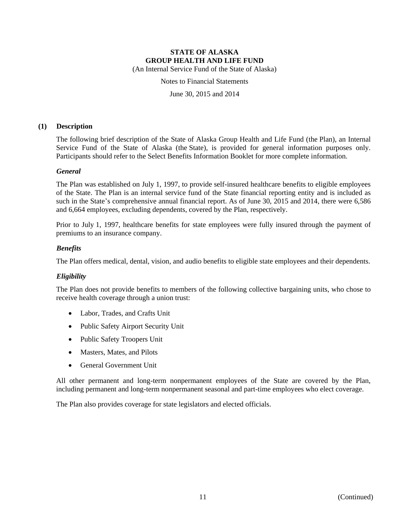(An Internal Service Fund of the State of Alaska)

Notes to Financial Statements

June 30, 2015 and 2014

#### **(1) Description**

The following brief description of the State of Alaska Group Health and Life Fund (the Plan), an Internal Service Fund of the State of Alaska (the State), is provided for general information purposes only. Participants should refer to the Select Benefits Information Booklet for more complete information.

#### *General*

The Plan was established on July 1, 1997, to provide self-insured healthcare benefits to eligible employees of the State. The Plan is an internal service fund of the State financial reporting entity and is included as such in the State's comprehensive annual financial report. As of June 30, 2015 and 2014, there were 6,586 and 6,664 employees, excluding dependents, covered by the Plan, respectively.

Prior to July 1, 1997, healthcare benefits for state employees were fully insured through the payment of premiums to an insurance company.

#### *Benefits*

The Plan offers medical, dental, vision, and audio benefits to eligible state employees and their dependents.

#### *Eligibility*

The Plan does not provide benefits to members of the following collective bargaining units, who chose to receive health coverage through a union trust:

- Labor, Trades, and Crafts Unit
- Public Safety Airport Security Unit
- Public Safety Troopers Unit
- Masters, Mates, and Pilots
- General Government Unit

All other permanent and long-term nonpermanent employees of the State are covered by the Plan, including permanent and long-term nonpermanent seasonal and part-time employees who elect coverage.

The Plan also provides coverage for state legislators and elected officials.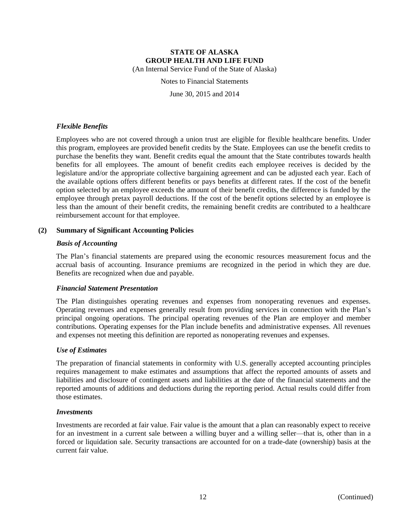Notes to Financial Statements

June 30, 2015 and 2014

#### *Flexible Benefits*

Employees who are not covered through a union trust are eligible for flexible healthcare benefits. Under this program, employees are provided benefit credits by the State. Employees can use the benefit credits to purchase the benefits they want. Benefit credits equal the amount that the State contributes towards health benefits for all employees. The amount of benefit credits each employee receives is decided by the legislature and/or the appropriate collective bargaining agreement and can be adjusted each year. Each of the available options offers different benefits or pays benefits at different rates. If the cost of the benefit option selected by an employee exceeds the amount of their benefit credits, the difference is funded by the employee through pretax payroll deductions. If the cost of the benefit options selected by an employee is less than the amount of their benefit credits, the remaining benefit credits are contributed to a healthcare reimbursement account for that employee.

#### **(2) Summary of Significant Accounting Policies**

#### *Basis of Accounting*

The Plan's financial statements are prepared using the economic resources measurement focus and the accrual basis of accounting. Insurance premiums are recognized in the period in which they are due. Benefits are recognized when due and payable.

#### *Financial Statement Presentation*

The Plan distinguishes operating revenues and expenses from nonoperating revenues and expenses. Operating revenues and expenses generally result from providing services in connection with the Plan's principal ongoing operations. The principal operating revenues of the Plan are employer and member contributions. Operating expenses for the Plan include benefits and administrative expenses. All revenues and expenses not meeting this definition are reported as nonoperating revenues and expenses.

#### *Use of Estimates*

The preparation of financial statements in conformity with U.S. generally accepted accounting principles requires management to make estimates and assumptions that affect the reported amounts of assets and liabilities and disclosure of contingent assets and liabilities at the date of the financial statements and the reported amounts of additions and deductions during the reporting period. Actual results could differ from those estimates.

#### *Investments*

Investments are recorded at fair value. Fair value is the amount that a plan can reasonably expect to receive for an investment in a current sale between a willing buyer and a willing seller—that is, other than in a forced or liquidation sale. Security transactions are accounted for on a trade-date (ownership) basis at the current fair value.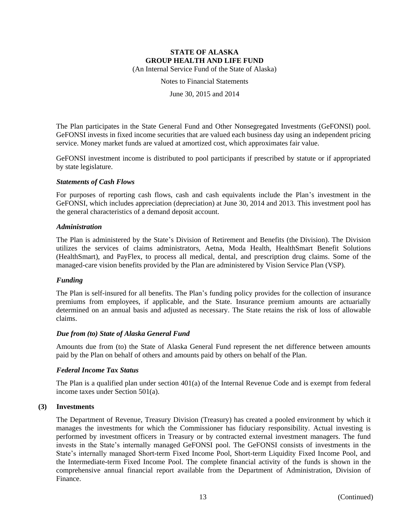Notes to Financial Statements

June 30, 2015 and 2014

The Plan participates in the State General Fund and Other Nonsegregated Investments (GeFONSI) pool. GeFONSI invests in fixed income securities that are valued each business day using an independent pricing service. Money market funds are valued at amortized cost, which approximates fair value.

GeFONSI investment income is distributed to pool participants if prescribed by statute or if appropriated by state legislature.

#### *Statements of Cash Flows*

For purposes of reporting cash flows, cash and cash equivalents include the Plan's investment in the GeFONSI, which includes appreciation (depreciation) at June 30, 2014 and 2013. This investment pool has the general characteristics of a demand deposit account.

#### *Administration*

The Plan is administered by the State's Division of Retirement and Benefits (the Division). The Division utilizes the services of claims administrators, Aetna, Moda Health, HealthSmart Benefit Solutions (HealthSmart), and PayFlex, to process all medical, dental, and prescription drug claims. Some of the managed-care vision benefits provided by the Plan are administered by Vision Service Plan (VSP).

#### *Funding*

The Plan is self-insured for all benefits. The Plan's funding policy provides for the collection of insurance premiums from employees, if applicable, and the State. Insurance premium amounts are actuarially determined on an annual basis and adjusted as necessary. The State retains the risk of loss of allowable claims.

#### *Due from (to) State of Alaska General Fund*

Amounts due from (to) the State of Alaska General Fund represent the net difference between amounts paid by the Plan on behalf of others and amounts paid by others on behalf of the Plan.

#### *Federal Income Tax Status*

The Plan is a qualified plan under section 401(a) of the Internal Revenue Code and is exempt from federal income taxes under Section 501(a).

#### **(3) Investments**

The Department of Revenue, Treasury Division (Treasury) has created a pooled environment by which it manages the investments for which the Commissioner has fiduciary responsibility. Actual investing is performed by investment officers in Treasury or by contracted external investment managers. The fund invests in the State's internally managed GeFONSI pool. The GeFONSI consists of investments in the State's internally managed Short-term Fixed Income Pool, Short-term Liquidity Fixed Income Pool, and the Intermediate-term Fixed Income Pool. The complete financial activity of the funds is shown in the comprehensive annual financial report available from the Department of Administration, Division of Finance.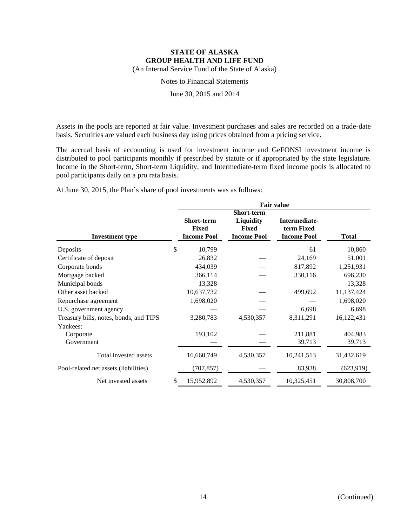Notes to Financial Statements

June 30, 2015 and 2014

Assets in the pools are reported at fair value. Investment purchases and sales are recorded on a trade-date basis. Securities are valued each business day using prices obtained from a pricing service.

The accrual basis of accounting is used for investment income and GeFONSI investment income is distributed to pool participants monthly if prescribed by statute or if appropriated by the state legislature. Income in the Short-term, Short-term Liquidity, and Intermediate-term fixed income pools is allocated to pool participants daily on a pro rata basis.

|                                        | <b>Fair value</b>                                       |                                                                             |                                                   |              |  |
|----------------------------------------|---------------------------------------------------------|-----------------------------------------------------------------------------|---------------------------------------------------|--------------|--|
| <b>Investment type</b>                 | <b>Short-term</b><br><b>Fixed</b><br><b>Income Pool</b> | <b>Short-term</b><br><b>Liquidity</b><br><b>Fixed</b><br><b>Income Pool</b> | Intermediate-<br>term Fixed<br><b>Income Pool</b> | <b>Total</b> |  |
| Deposits                               | \$<br>10,799                                            |                                                                             | 61                                                | 10,860       |  |
| Certificate of deposit                 | 26,832                                                  |                                                                             | 24,169                                            | 51,001       |  |
| Corporate bonds                        | 434,039                                                 |                                                                             | 817,892                                           | 1,251,931    |  |
| Mortgage backed                        | 366,114                                                 |                                                                             | 330,116                                           | 696,230      |  |
| Municipal bonds                        | 13,328                                                  |                                                                             |                                                   | 13,328       |  |
| Other asset backed                     | 10,637,732                                              |                                                                             | 499,692                                           | 11,137,424   |  |
| Repurchase agreement                   | 1,698,020                                               |                                                                             |                                                   | 1,698,020    |  |
| U.S. government agency                 |                                                         |                                                                             | 6,698                                             | 6,698        |  |
| Treasury bills, notes, bonds, and TIPS | 3,280,783                                               | 4,530,357                                                                   | 8,311,291                                         | 16,122,431   |  |
| Yankees:                               |                                                         |                                                                             |                                                   |              |  |
| Corporate                              | 193,102                                                 |                                                                             | 211,881                                           | 404,983      |  |
| Government                             |                                                         |                                                                             | 39,713                                            | 39,713       |  |
| Total invested assets                  | 16,660,749                                              | 4,530,357                                                                   | 10,241,513                                        | 31,432,619   |  |
| Pool-related net assets (liabilities)  | (707, 857)                                              |                                                                             | 83,938                                            | (623, 919)   |  |
| Net invested assets                    | \$<br>15,952,892                                        | 4,530,357                                                                   | 10,325,451                                        | 30,808,700   |  |

At June 30, 2015, the Plan's share of pool investments was as follows: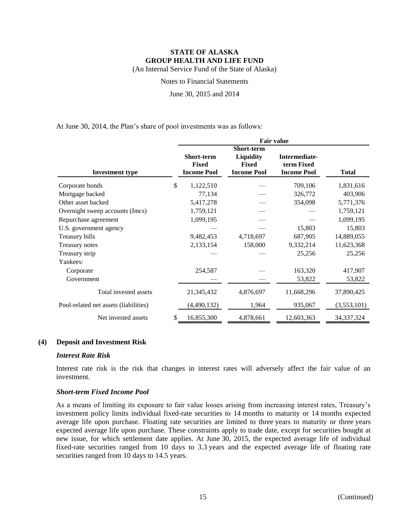Notes to Financial Statements

June 30, 2015 and 2014

At June 30, 2014, the Plan's share of pool investments was as follows:

|                                       | <b>Fair value</b>                                       |                                                                      |                                                   |              |  |  |
|---------------------------------------|---------------------------------------------------------|----------------------------------------------------------------------|---------------------------------------------------|--------------|--|--|
| <b>Investment type</b>                | <b>Short-term</b><br><b>Fixed</b><br><b>Income Pool</b> | <b>Short-term</b><br>Liquidity<br><b>Fixed</b><br><b>Income Pool</b> | Intermediate-<br>term Fixed<br><b>Income Pool</b> | <b>Total</b> |  |  |
| Corporate bonds                       | \$<br>1,122,510                                         |                                                                      | 709,106                                           | 1,831,616    |  |  |
| Mortgage backed                       | 77,134                                                  |                                                                      | 326,772                                           | 403,906      |  |  |
| Other asset backed                    | 5,417,278                                               |                                                                      | 354,098                                           | 5,771,376    |  |  |
| Overnight sweep accounts (Imcs)       | 1,759,121                                               |                                                                      |                                                   | 1,759,121    |  |  |
| Repurchase agreement                  | 1,099,195                                               |                                                                      |                                                   | 1,099,195    |  |  |
| U.S. government agency                |                                                         |                                                                      | 15,803                                            | 15,803       |  |  |
| Treasury bills                        | 9,482,453                                               | 4,718,697                                                            | 687,905                                           | 14,889,055   |  |  |
| Treasury notes                        | 2,133,154                                               | 158,000                                                              | 9,332,214                                         | 11,623,368   |  |  |
| Treasury strip                        |                                                         |                                                                      | 25,256                                            | 25,256       |  |  |
| Yankees:                              |                                                         |                                                                      |                                                   |              |  |  |
| Corporate                             | 254,587                                                 |                                                                      | 163,320                                           | 417,907      |  |  |
| Government                            |                                                         |                                                                      | 53,822                                            | 53,822       |  |  |
| Total invested assets                 | 21,345,432                                              | 4,876,697                                                            | 11,668,296                                        | 37,890,425   |  |  |
| Pool-related net assets (liabilities) | (4,490,132)                                             | 1,964                                                                | 935,067                                           | (3,553,101)  |  |  |
| Net invested assets                   | \$<br>16,855,300                                        | 4,878,661                                                            | 12,603,363                                        | 34, 37, 324  |  |  |

#### **(4) Deposit and Investment Risk**

#### *Interest Rate Risk*

Interest rate risk is the risk that changes in interest rates will adversely affect the fair value of an investment.

#### *Short-term Fixed Income Pool*

As a means of limiting its exposure to fair value losses arising from increasing interest rates, Treasury's investment policy limits individual fixed-rate securities to 14 months to maturity or 14 months expected average life upon purchase. Floating rate securities are limited to three years to maturity or three years expected average life upon purchase. These constraints apply to trade date, except for securities bought at new issue, for which settlement date applies. At June 30, 2015, the expected average life of individual fixed-rate securities ranged from 10 days to 3.3 years and the expected average life of floating rate securities ranged from 10 days to 14.5 years.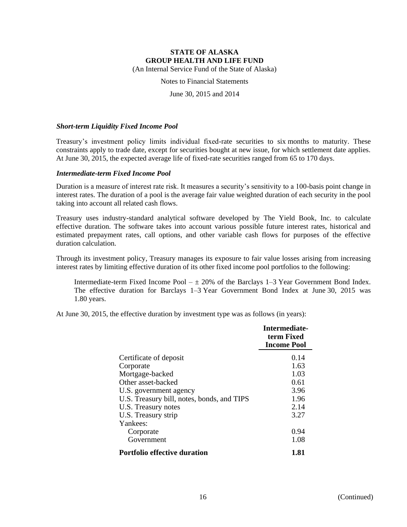Notes to Financial Statements

June 30, 2015 and 2014

#### *Short-term Liquidity Fixed Income Pool*

Treasury's investment policy limits individual fixed-rate securities to six months to maturity. These constraints apply to trade date, except for securities bought at new issue, for which settlement date applies. At June 30, 2015, the expected average life of fixed-rate securities ranged from 65 to 170 days.

#### *Intermediate-term Fixed Income Pool*

Duration is a measure of interest rate risk. It measures a security's sensitivity to a 100-basis point change in interest rates. The duration of a pool is the average fair value weighted duration of each security in the pool taking into account all related cash flows.

Treasury uses industry-standard analytical software developed by The Yield Book, Inc. to calculate effective duration. The software takes into account various possible future interest rates, historical and estimated prepayment rates, call options, and other variable cash flows for purposes of the effective duration calculation.

Through its investment policy, Treasury manages its exposure to fair value losses arising from increasing interest rates by limiting effective duration of its other fixed income pool portfolios to the following:

Intermediate-term Fixed Income Pool  $- \pm 20\%$  of the Barclays 1–3 Year Government Bond Index. The effective duration for Barclays 1–3 Year Government Bond Index at June 30, 2015 was 1.80 years.

At June 30, 2015, the effective duration by investment type was as follows (in years):

|                                            | Intermediate-<br>term Fixed<br><b>Income Pool</b> |
|--------------------------------------------|---------------------------------------------------|
| Certificate of deposit                     | 0.14                                              |
| Corporate                                  | 1.63                                              |
| Mortgage-backed                            | 1.03                                              |
| Other asset-backed                         | 0.61                                              |
| U.S. government agency                     | 3.96                                              |
| U.S. Treasury bill, notes, bonds, and TIPS | 1.96                                              |
| U.S. Treasury notes                        | 2.14                                              |
| U.S. Treasury strip                        | 3.27                                              |
| Yankees:                                   |                                                   |
| Corporate                                  | 0.94                                              |
| Government                                 | 1.08                                              |
| <b>Portfolio effective duration</b>        | 1.81                                              |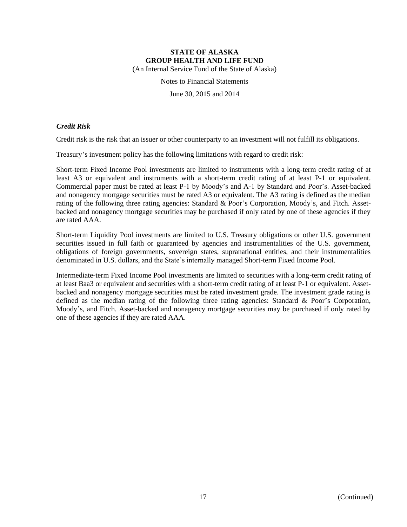Notes to Financial Statements

June 30, 2015 and 2014

#### *Credit Risk*

Credit risk is the risk that an issuer or other counterparty to an investment will not fulfill its obligations.

Treasury's investment policy has the following limitations with regard to credit risk:

Short-term Fixed Income Pool investments are limited to instruments with a long-term credit rating of at least A3 or equivalent and instruments with a short-term credit rating of at least P-1 or equivalent. Commercial paper must be rated at least P-1 by Moody's and A-1 by Standard and Poor's. Asset-backed and nonagency mortgage securities must be rated A3 or equivalent. The A3 rating is defined as the median rating of the following three rating agencies: Standard & Poor's Corporation, Moody's, and Fitch. Assetbacked and nonagency mortgage securities may be purchased if only rated by one of these agencies if they are rated AAA.

Short-term Liquidity Pool investments are limited to U.S. Treasury obligations or other U.S. government securities issued in full faith or guaranteed by agencies and instrumentalities of the U.S. government, obligations of foreign governments, sovereign states, supranational entities, and their instrumentalities denominated in U.S. dollars, and the State's internally managed Short-term Fixed Income Pool.

Intermediate-term Fixed Income Pool investments are limited to securities with a long-term credit rating of at least Baa3 or equivalent and securities with a short-term credit rating of at least P-1 or equivalent. Assetbacked and nonagency mortgage securities must be rated investment grade. The investment grade rating is defined as the median rating of the following three rating agencies: Standard & Poor's Corporation, Moody's, and Fitch. Asset-backed and nonagency mortgage securities may be purchased if only rated by one of these agencies if they are rated AAA.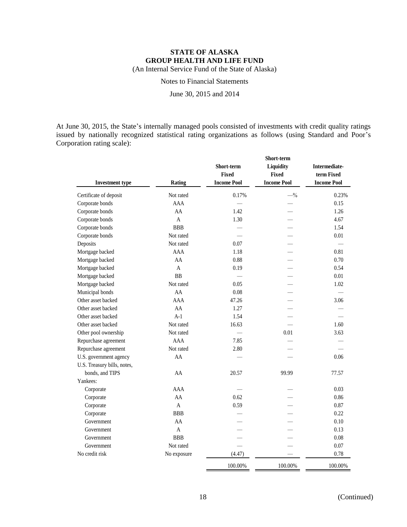Notes to Financial Statements

June 30, 2015 and 2014

At June 30, 2015, the State's internally managed pools consisted of investments with credit quality ratings issued by nationally recognized statistical rating organizations as follows (using Standard and Poor's Corporation rating scale):

| <b>Investment type</b>      | <b>Rating</b> | Short-term<br><b>Fixed</b><br><b>Income Pool</b> | Short-term<br>Liquidity<br><b>Fixed</b><br><b>Income Pool</b> | Intermediate-<br>term Fixed<br><b>Income Pool</b> |
|-----------------------------|---------------|--------------------------------------------------|---------------------------------------------------------------|---------------------------------------------------|
| Certificate of deposit      | Not rated     | 0.17%                                            | $-$ %                                                         | 0.23%                                             |
| Corporate bonds             | AAA           |                                                  |                                                               | 0.15                                              |
| Corporate bonds             | AA            | 1.42                                             |                                                               | 1.26                                              |
| Corporate bonds             | A             | 1.30                                             |                                                               | 4.67                                              |
| Corporate bonds             | <b>BBB</b>    |                                                  |                                                               | 1.54                                              |
| Corporate bonds             | Not rated     |                                                  |                                                               | 0.01                                              |
| Deposits                    | Not rated     | 0.07                                             |                                                               |                                                   |
| Mortgage backed             | AAA           | 1.18                                             |                                                               | 0.81                                              |
| Mortgage backed             | AA            | 0.88                                             |                                                               | 0.70                                              |
| Mortgage backed             | A             | 0.19                                             |                                                               | 0.54                                              |
| Mortgage backed             | <b>BB</b>     |                                                  |                                                               | 0.01                                              |
| Mortgage backed             | Not rated     | 0.05                                             |                                                               | 1.02                                              |
| Municipal bonds             | AA            | 0.08                                             |                                                               |                                                   |
| Other asset backed          | AAA           | 47.26                                            |                                                               | 3.06                                              |
| Other asset backed          | AA            | 1.27                                             |                                                               |                                                   |
| Other asset backed          | $A-1$         | 1.54                                             |                                                               |                                                   |
| Other asset backed          | Not rated     | 16.63                                            |                                                               | 1.60                                              |
| Other pool ownership        | Not rated     |                                                  | 0.01                                                          | 3.63                                              |
| Repurchase agreement        | AAA           | 7.85                                             |                                                               |                                                   |
| Repurchase agreement        | Not rated     | 2.80                                             |                                                               |                                                   |
| U.S. government agency      | AA            |                                                  |                                                               | 0.06                                              |
| U.S. Treasury bills, notes, |               |                                                  |                                                               |                                                   |
| bonds, and TIPS             | AA            | 20.57                                            | 99.99                                                         | 77.57                                             |
| Yankees:                    |               |                                                  |                                                               |                                                   |
| Corporate                   | AAA           |                                                  |                                                               | 0.03                                              |
| Corporate                   | AA            | 0.62                                             |                                                               | 0.86                                              |
| Corporate                   | $\mathsf{A}$  | 0.59                                             |                                                               | 0.87                                              |
| Corporate                   | <b>BBB</b>    |                                                  |                                                               | 0.22                                              |
| Government                  | AA            |                                                  |                                                               | 0.10                                              |
| Government                  | $\mathbf{A}$  |                                                  |                                                               | 0.13                                              |
| Government                  | <b>BBB</b>    |                                                  |                                                               | 0.08                                              |
| Government                  | Not rated     |                                                  |                                                               | 0.07                                              |
| No credit risk              | No exposure   | (4.47)                                           |                                                               | 0.78                                              |
|                             |               | 100.00%                                          | 100.00%                                                       | 100.00%                                           |